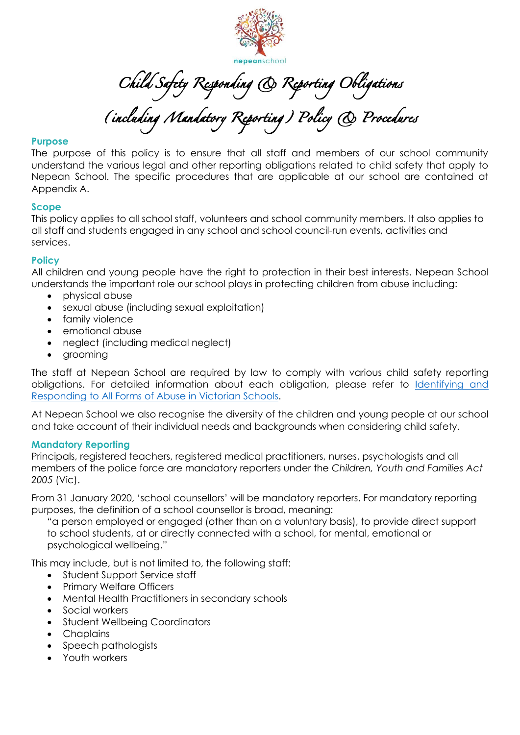

Child Safety Responding & Reporting Obligations

(including Mandatory Reporting) Policy & Procedures

### **Purpose**

The purpose of this policy is to ensure that all staff and members of our school community understand the various legal and other reporting obligations related to child safety that apply to Nepean School. The specific procedures that are applicable at our school are contained at Appendix A.

### **Scope**

This policy applies to all school staff, volunteers and school community members. It also applies to all staff and students engaged in any school and school council-run events, activities and services.

### **Policy**

All children and young people have the right to protection in their best interests. Nepean School understands the important role our school plays in protecting children from abuse including:

- physical abuse
- sexual abuse (including sexual exploitation)
- family violence
- emotional abuse
- neglect (including medical neglect)
- grooming

The staff at Nepean School are required by law to comply with various child safety reporting obligations. For detailed information about each obligation, please refer to *Identifying and* [Responding to All Forms of Abuse in Victorian Schools.](https://www.education.vic.gov.au/Documents/about/programs/health/protect/ChildSafeStandard5_SchoolsGuide.pdf)

At Nepean School we also recognise the diversity of the children and young people at our school and take account of their individual needs and backgrounds when considering child safety.

### **Mandatory Reporting**

Principals, registered teachers, registered medical practitioners, nurses, psychologists and all members of the police force are mandatory reporters under the *Children, Youth and Families Act 2005* (Vic).

From 31 January 2020, 'school counsellors' will be mandatory reporters. For mandatory reporting purposes, the definition of a school counsellor is broad, meaning:

"a person employed or engaged (other than on a voluntary basis), to provide direct support to school students, at or directly connected with a school, for mental, emotional or psychological wellbeing."

This may include, but is not limited to, the following staff:

- Student Support Service staff
- Primary Welfare Officers
- Mental Health Practitioners in secondary schools
- Social workers
- Student Wellbeing Coordinators
- Chaplains
- Speech pathologists
- Youth workers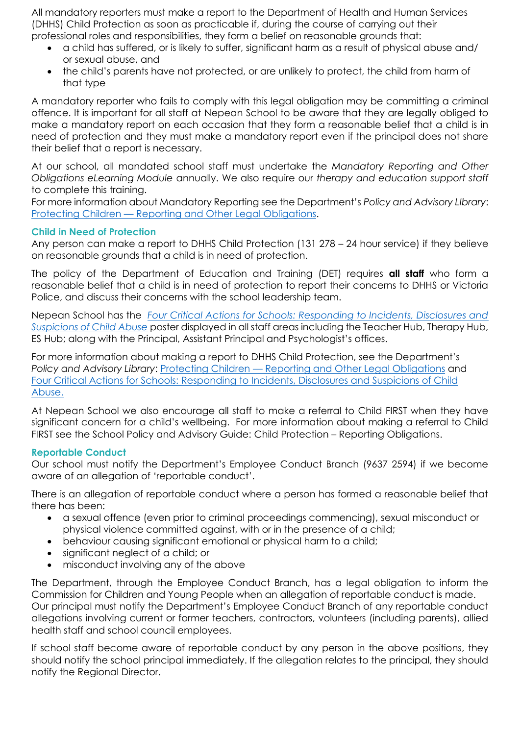All mandatory reporters must make a report to the Department of Health and Human Services (DHHS) Child Protection as soon as practicable if, during the course of carrying out their professional roles and responsibilities, they form a belief on reasonable grounds that:

- a child has suffered, or is likely to suffer, significant harm as a result of physical abuse and/ or sexual abuse, and
- the child's parents have not protected, or are unlikely to protect, the child from harm of that type

A mandatory reporter who fails to comply with this legal obligation may be committing a criminal offence. It is important for all staff at Nepean School to be aware that they are legally obliged to make a mandatory report on each occasion that they form a reasonable belief that a child is in need of protection and they must make a mandatory report even if the principal does not share their belief that a report is necessary.

At our school, all mandated school staff must undertake the *Mandatory Reporting and Other Obligations eLearning Module* annually. We also require our *therapy and education support staff* to complete this training.

For more information about Mandatory Reporting see the Department's *Policy and Advisory LIbrary*: Protecting Children — [Reporting and Other Legal Obligations.](https://www2.education.vic.gov.au/pal/protecting-children/policy)

### **Child in Need of Protection**

Any person can make a report to DHHS Child Protection (131 278 – 24 hour service) if they believe on reasonable grounds that a child is in need of protection.

The policy of the Department of Education and Training (DET) requires **all staff** who form a reasonable belief that a child is in need of protection to report their concerns to DHHS or Victoria Police, and discuss their concerns with the school leadership team.

Nepean School has the *[Four Critical Actions for Schools: Responding to Incidents, Disclosures and](https://www.education.vic.gov.au/Documents/about/programs/health/protect/FourCriticalActions_ChildAbuse.pdf)  [Suspicions of Child Abuse](https://www.education.vic.gov.au/Documents/about/programs/health/protect/FourCriticalActions_ChildAbuse.pdf)* poster displayed in all staff areas including the Teacher Hub, Therapy Hub, ES Hub; along with the Principal, Assistant Principal and Psychologist's offices.

For more information about making a report to DHHS Child Protection, see the Department's *Policy and Advisory Library*: Protecting Children — [Reporting and Other Legal Obligations](https://www2.education.vic.gov.au/pal/protecting-children/policy) and [Four Critical Actions for Schools: Responding to Incidents, Disclosures and Suspicions of Child](https://www.education.vic.gov.au/Documents/about/programs/health/protect/FourCriticalActions_ChildAbuse.pdf)  [Abuse.](https://www.education.vic.gov.au/Documents/about/programs/health/protect/FourCriticalActions_ChildAbuse.pdf)

At Nepean School we also encourage all staff to make a referral to Child FIRST when they have significant concern for a child's wellbeing. For more information about making a referral to Child FIRST see the School Policy and Advisory Guide: Child Protection – [Reporting Obligations.](https://www.education.vic.gov.au/school/principals/spag/safety/Pages/childprotectobligation.aspx)

### **Reportable Conduct**

Our school must notify the Department's Employee Conduct Branch (9637 2594) if we become aware of an allegation of 'reportable conduct'.

There is an allegation of reportable conduct where a person has formed a reasonable belief that there has been:

- a sexual offence (even prior to criminal proceedings commencing), sexual misconduct or physical violence committed against, with or in the presence of a child;
- behaviour causing significant emotional or physical harm to a child:
- significant neglect of a child; or
- misconduct involving any of the above

The Department, through the Employee Conduct Branch, has a legal obligation to inform the Commission for Children and Young People when an allegation of reportable conduct is made. Our principal must notify the Department's Employee Conduct Branch of any reportable conduct allegations involving current or former teachers, contractors, volunteers (including parents), allied health staff and school council employees.

If school staff become aware of reportable conduct by any person in the above positions, they should notify the school principal immediately. If the allegation relates to the principal, they should notify the Regional Director.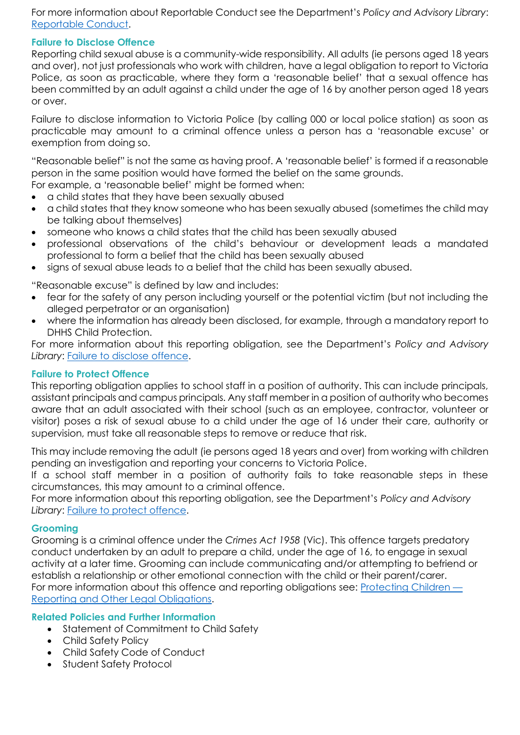For more information about Reportable Conduct see the Department's *Policy and Advisory Library*: [Reportable Conduct.](https://www2.education.vic.gov.au/pal/reportable-conduct-scheme/policy)

## **Failure to Disclose Offence**

Reporting child sexual abuse is a community-wide responsibility. All adults (ie persons aged 18 years and over), not just professionals who work with children, have a legal obligation to report to Victoria Police, as soon as practicable, where they form a 'reasonable belief' that a sexual offence has been committed by an adult against a child under the age of 16 by another person aged 18 years or over.

Failure to disclose information to Victoria Police (by calling 000 or local police station) as soon as practicable may amount to a criminal offence unless a person has a 'reasonable excuse' or exemption from doing so.

"Reasonable belief" is not the same as having proof. A 'reasonable belief' is formed if a reasonable person in the same position would have formed the belief on the same grounds.

- For example, a 'reasonable belief' might be formed when:
- a child states that they have been sexually abused
- a child states that they know someone who has been sexually abused (sometimes the child may be talking about themselves)
- someone who knows a child states that the child has been sexually abused
- professional observations of the child's behaviour or development leads a mandated professional to form a belief that the child has been sexually abused
- signs of sexual abuse leads to a belief that the child has been sexually abused.

"Reasonable excuse" is defined by law and includes:

- fear for the safety of any person including yourself or the potential victim (but not including the alleged perpetrator or an organisation)
- where the information has already been disclosed, for example, through a mandatory report to DHHS Child Protection.

For more information about this reporting obligation, see the Department's *Policy and Advisory*  Library: [Failure to disclose offence.](https://www2.education.vic.gov.au/pal/protecting-children/policy)

## **Failure to Protect Offence**

This reporting obligation applies to school staff in a position of authority. This can include principals, assistant principals and campus principals. Any staff member in a position of authority who becomes aware that an adult associated with their school (such as an employee, contractor, volunteer or visitor) poses a risk of sexual abuse to a child under the age of 16 under their care, authority or supervision, must take all reasonable steps to remove or reduce that risk.

This may include removing the adult (ie persons aged 18 years and over) from working with children pending an investigation and reporting your concerns to Victoria Police.

If a school staff member in a position of authority fails to take reasonable steps in these circumstances, this may amount to a criminal offence.

For more information about this reporting obligation, see the Department's *Policy and Advisory*  Library: [Failure to protect offence.](https://www2.education.vic.gov.au/pal/protecting-children/policy)

## **Grooming**

Grooming is a criminal offence under the *Crimes Act 1958* (Vic). This offence targets predatory conduct undertaken by an adult to prepare a child, under the age of 16, to engage in sexual activity at a later time. Grooming can include communicating and/or attempting to befriend or establish a relationship or other emotional connection with the child or their parent/carer. For more information about this offence and reporting obligations see: [Protecting Children](https://www2.education.vic.gov.au/pal/protecting-children/policy) — [Reporting and Other Legal Obligations.](https://www2.education.vic.gov.au/pal/protecting-children/policy)

## **Related Policies and Further Information**

- Statement of Commitment to Child Safety
- Child Safety Policy
- Child Safety Code of Conduct
- **Student Safety Protocol**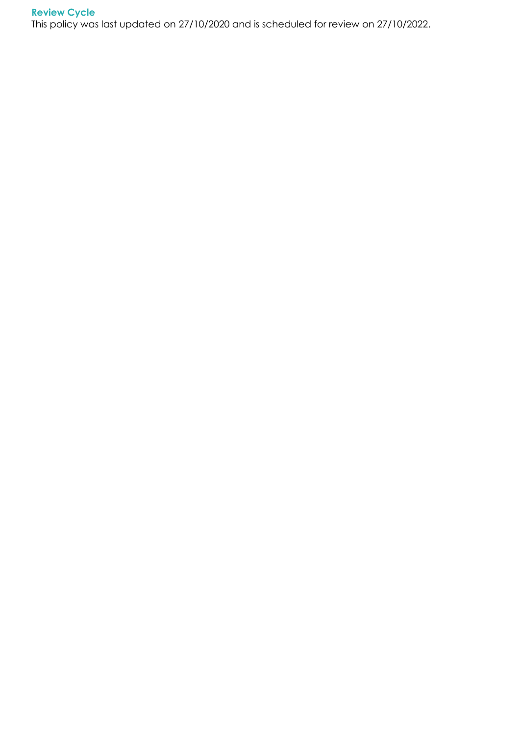# **Review Cycle**

This policy was last updated on 27/10/2020 and is scheduled for review on 27/10/2022.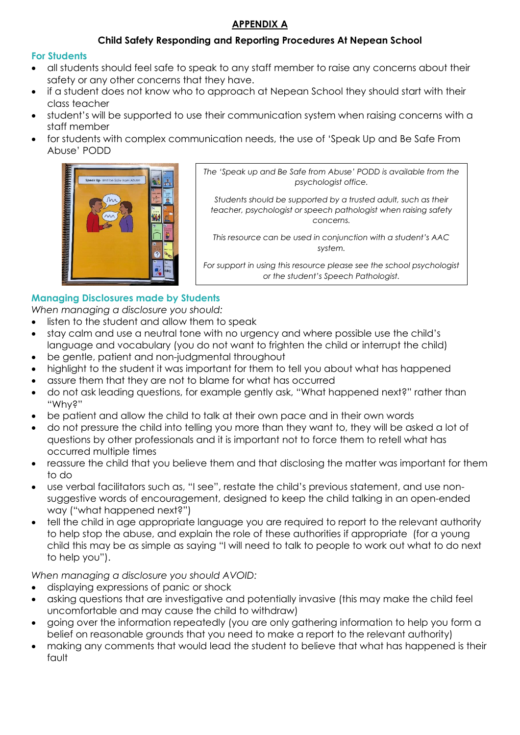# **APPENDIX A**

# **Child Safety Responding and Reporting Procedures At Nepean School**

## **For Students**

- all students should feel safe to speak to any staff member to raise any concerns about their safety or any other concerns that they have.
- if a student does not know who to approach at Nepean School they should start with their class teacher
- student's will be supported to use their communication system when raising concerns with a staff member
- for students with complex communication needs, the use of 'Speak Up and Be Safe From Abuse' PODD



*The 'Speak up and Be Safe from Abuse' PODD is available from the psychologist office.*

*Students should be supported by a trusted adult, such as their teacher, psychologist or speech pathologist when raising safety concerns.*

*This resource can be used in conjunction with a student's AAC system.* 

*For support in using this resource please see the school psychologist or the student's Speech Pathologist.*

# **Managing Disclosures made by Students**

*When managing a disclosure you should:*

- listen to the student and allow them to speak
- stay calm and use a neutral tone with no urgency and where possible use the child's language and vocabulary (you do not want to frighten the child or interrupt the child)
- be gentle, patient and non-judgmental throughout
- highlight to the student it was important for them to tell you about what has happened
- assure them that they are not to blame for what has occurred
- do not ask leading questions, for example gently ask, "What happened next?" rather than "Why?"
- be patient and allow the child to talk at their own pace and in their own words
- do not pressure the child into telling you more than they want to, they will be asked a lot of questions by other professionals and it is important not to force them to retell what has occurred multiple times
- reassure the child that you believe them and that disclosing the matter was important for them to do
- use verbal facilitators such as, "I see", restate the child's previous statement, and use nonsuggestive words of encouragement, designed to keep the child talking in an open-ended way ("what happened next?")
- tell the child in age appropriate language you are required to report to the relevant authority to help stop the abuse, and explain the role of these authorities if appropriate (for a young child this may be as simple as saying "I will need to talk to people to work out what to do next to help you").

*When managing a disclosure you should AVOID:*

- displaying expressions of panic or shock
- asking questions that are investigative and potentially invasive (this may make the child feel uncomfortable and may cause the child to withdraw)
- going over the information repeatedly (you are only gathering information to help you form a belief on reasonable grounds that you need to make a report to the relevant authority)
- making any comments that would lead the student to believe that what has happened is their fault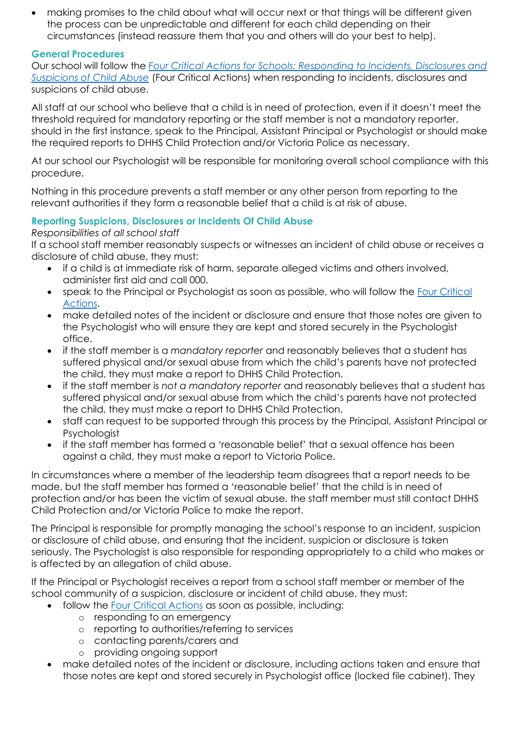• making promises to the child about what will occur next or that things will be different given the process can be unpredictable and different for each child depending on their circumstances (instead reassure them that you and others will do your best to help).

### **General Procedures**

Our school will follow the *[Four Critical Actions for Schools: Responding to Incidents, Disclosures and](https://www.education.vic.gov.au/Documents/about/programs/health/protect/FourCriticalActions_ChildAbuse.pdf)  [Suspicions of Child Abuse](https://www.education.vic.gov.au/Documents/about/programs/health/protect/FourCriticalActions_ChildAbuse.pdf)* (Four Critical Actions) when responding to incidents, disclosures and suspicions of child abuse.

All staff at our school who believe that a child is in need of protection, even if it doesn't meet the threshold required for mandatory reporting or the staff member is not a mandatory reporter, should in the first instance, speak to the Principal, Assistant Principal or Psychologist or should make the required reports to DHHS Child Protection and/or Victoria Police as necessary.

At our school our Psychologist will be responsible for monitoring overall school compliance with this procedure.

Nothing in this procedure prevents a staff member or any other person from reporting to the relevant authorities if they form a reasonable belief that a child is at risk of abuse.

# **Reporting Suspicions, Disclosures or Incidents Of Child Abuse**

## *Responsibilities of all school staff*

If a school staff member reasonably suspects or witnesses an incident of child abuse or receives a disclosure of child abuse, they must:

- if a child is at immediate risk of harm, separate alleged victims and others involved, administer first aid and call 000.
- speak to the Principal or Psychologist as soon as possible, who will follow the [Four Critical](https://www.education.vic.gov.au/Documents/about/programs/health/protect/FourCriticalActions_ChildAbuse.pdf)  [Actions.](https://www.education.vic.gov.au/Documents/about/programs/health/protect/FourCriticalActions_ChildAbuse.pdf)
- make detailed notes of the incident or disclosure and ensure that those notes are given to the Psychologist who will ensure they are kept and stored securely in the Psychologist office.
- if the staff member is a *mandatory reporter* and reasonably believes that a student has suffered physical and/or sexual abuse from which the child's parents have not protected the child, they must make a report to DHHS Child Protection.
- if the staff member is *not a mandatory reporter* and reasonably believes that a student has suffered physical and/or sexual abuse from which the child's parents have not protected the child, they must make a report to DHHS Child Protection.
- staff can request to be supported through this process by the Principal, Assistant Principal or Psychologist
- if the staff member has formed a 'reasonable belief' that a sexual offence has been against a child, they must make a report to Victoria Police.

In circumstances where a member of the leadership team disagrees that a report needs to be made, but the staff member has formed a 'reasonable belief' that the child is in need of protection and/or has been the victim of sexual abuse, the staff member must still contact DHHS Child Protection and/or Victoria Police to make the report.

The Principal is responsible for promptly managing the school's response to an incident, suspicion or disclosure of child abuse, and ensuring that the incident, suspicion or disclosure is taken seriously. The Psychologist is also responsible for responding appropriately to a child who makes or is affected by an allegation of child abuse.

If the Principal or Psychologist receives a report from a school staff member or member of the school community of a suspicion, disclosure or incident of child abuse, they must:

- follow the [Four Critical Actions](https://www.education.vic.gov.au/Documents/about/programs/health/protect/FourCriticalActions_ChildAbuse.pdf) as soon as possible, including:
	- o responding to an emergency
	- o reporting to authorities/referring to services
	- o contacting parents/carers and
	- o providing ongoing support
- make detailed notes of the incident or disclosure, including actions taken and ensure that those notes are kept and stored securely in Psychologist office (locked file cabinet). They